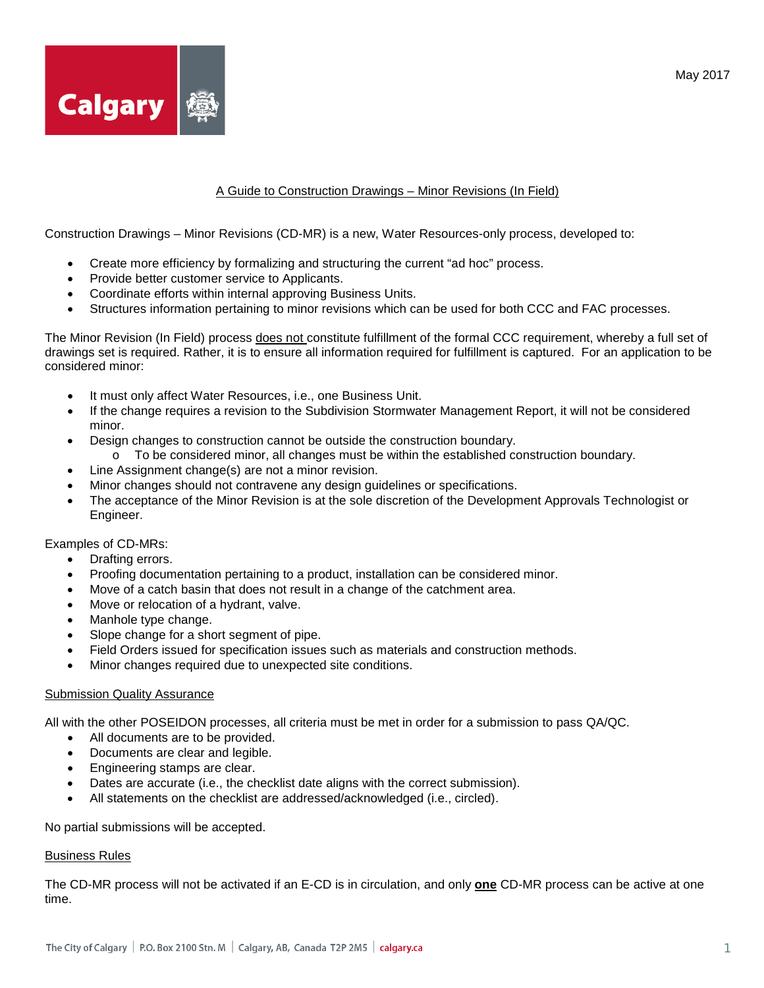

## A Guide to Construction Drawings – Minor Revisions (In Field)

Construction Drawings – Minor Revisions (CD-MR) is a new, Water Resources-only process, developed to:

- Create more efficiency by formalizing and structuring the current "ad hoc" process.
- Provide better customer service to Applicants.
- Coordinate efforts within internal approving Business Units.
- Structures information pertaining to minor revisions which can be used for both CCC and FAC processes.

The Minor Revision (In Field) process does not constitute fulfillment of the formal CCC requirement, whereby a full set of drawings set is required. Rather, it is to ensure all information required for fulfillment is captured. For an application to be considered minor:

- It must only affect Water Resources, i.e., one Business Unit.
- If the change requires a revision to the Subdivision Stormwater Management Report, it will not be considered minor.
- Design changes to construction cannot be outside the construction boundary.
	- o To be considered minor, all changes must be within the established construction boundary.
- Line Assignment change(s) are not a minor revision.
- Minor changes should not contravene any design guidelines or specifications.
- The acceptance of the Minor Revision is at the sole discretion of the Development Approvals Technologist or Engineer.

Examples of CD-MRs:

- Drafting errors.
- Proofing documentation pertaining to a product, installation can be considered minor.
- Move of a catch basin that does not result in a change of the catchment area.
- Move or relocation of a hydrant, valve.
- Manhole type change.
- Slope change for a short segment of pipe.
- Field Orders issued for specification issues such as materials and construction methods.
- Minor changes required due to unexpected site conditions.

## **Submission Quality Assurance**

All with the other POSEIDON processes, all criteria must be met in order for a submission to pass QA/QC.

- All documents are to be provided.
- Documents are clear and legible.
- Engineering stamps are clear.
- Dates are accurate (i.e., the checklist date aligns with the correct submission).
- All statements on the checklist are addressed/acknowledged (i.e., circled).

No partial submissions will be accepted.

#### Business Rules

The CD-MR process will not be activated if an E-CD is in circulation, and only **one** CD-MR process can be active at one time.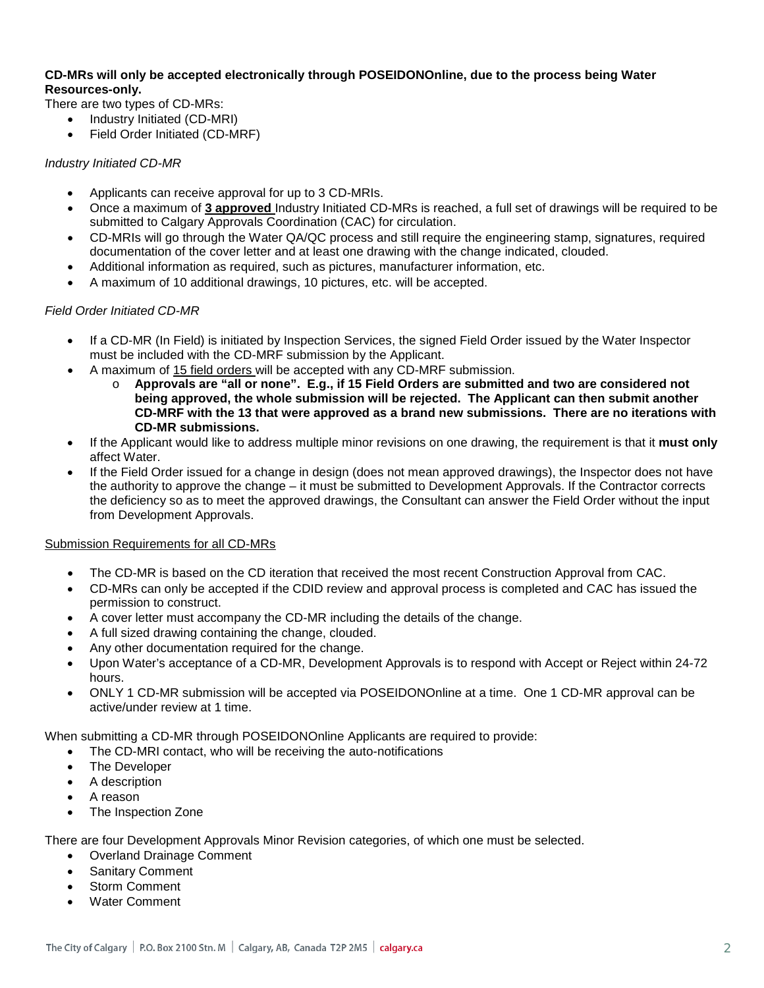# **CD-MRs will only be accepted electronically through POSEIDONOnline, due to the process being Water Resources-only.**

There are two types of CD-MRs:

- Industry Initiated (CD-MRI)
- Field Order Initiated (CD-MRF)

# *Industry Initiated CD-MR*

- Applicants can receive approval for up to 3 CD-MRIs.
- Once a maximum of **3 approved** Industry Initiated CD-MRs is reached, a full set of drawings will be required to be submitted to Calgary Approvals Coordination (CAC) for circulation.
- CD-MRIs will go through the Water QA/QC process and still require the engineering stamp, signatures, required documentation of the cover letter and at least one drawing with the change indicated, clouded.
- Additional information as required, such as pictures, manufacturer information, etc.
- A maximum of 10 additional drawings, 10 pictures, etc. will be accepted.

## *Field Order Initiated CD-MR*

- If a CD-MR (In Field) is initiated by Inspection Services, the signed Field Order issued by the Water Inspector must be included with the CD-MRF submission by the Applicant.
- A maximum of 15 field orders will be accepted with any CD-MRF submission.
	- o **Approvals are "all or none". E.g., if 15 Field Orders are submitted and two are considered not being approved, the whole submission will be rejected. The Applicant can then submit another CD-MRF with the 13 that were approved as a brand new submissions. There are no iterations with CD-MR submissions.**
- If the Applicant would like to address multiple minor revisions on one drawing, the requirement is that it **must only**  affect Water.
- If the Field Order issued for a change in design (does not mean approved drawings), the Inspector does not have the authority to approve the change – it must be submitted to Development Approvals. If the Contractor corrects the deficiency so as to meet the approved drawings, the Consultant can answer the Field Order without the input from Development Approvals.

## Submission Requirements for all CD-MRs

- The CD-MR is based on the CD iteration that received the most recent Construction Approval from CAC.
- CD-MRs can only be accepted if the CDID review and approval process is completed and CAC has issued the permission to construct.
- A cover letter must accompany the CD-MR including the details of the change.
- A full sized drawing containing the change, clouded.
- Any other documentation required for the change.
- Upon Water's acceptance of a CD-MR, Development Approvals is to respond with Accept or Reject within 24-72 hours.
- ONLY 1 CD-MR submission will be accepted via POSEIDONOnline at a time. One 1 CD-MR approval can be active/under review at 1 time.

When submitting a CD-MR through POSEIDONOnline Applicants are required to provide:

- The CD-MRI contact, who will be receiving the auto-notifications
- The Developer
- A description
- A reason
- The Inspection Zone

There are four Development Approvals Minor Revision categories, of which one must be selected.

- Overland Drainage Comment
- Sanitary Comment
- Storm Comment
- Water Comment